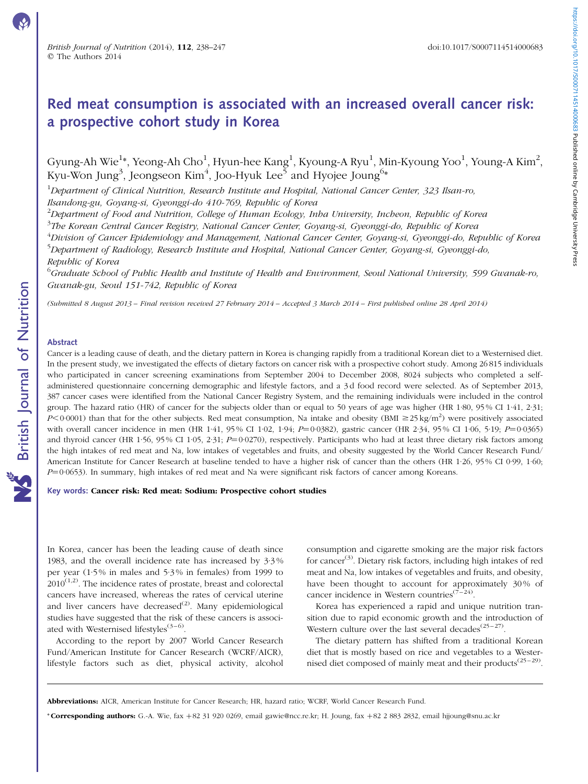# Red meat consumption is associated with an increased overall cancer risk: a prospective cohort study in Korea

Gyung-Ah Wie $^{1*}$ , Yeong-Ah Cho $^{1}$ , Hyun-hee Kang $^{1}$ , Kyoung-A Ryu $^{1}$ , Min-Kyoung Yoo $^{1}$ , Young-A Kim $^{2}$ , Kyu-Won Jung<sup>3</sup>, Jeongseon Kim<sup>4</sup>, Joo-Hyuk Lee<sup>5</sup> and Hyojee Joung<sup>6</sup>\*

 $^1$ Department of Clinical Nutrition, Research Institute and Hospital, National Cancer Center, 323 Ilsan-ro, Ilsandong-gu, Goyang-si, Gyeonggi-do 410-769, Republic of Korea

 $^2$ Department of Food and Nutrition, College of Human Ecology, Inha University, Incheon, Republic of Korea

<sup>3</sup>The Korean Central Cancer Registry, National Cancer Center, Goyang-si, Gyeonggi-do, Republic of Korea

<sup>4</sup>Division of Cancer Epidemiology and Management, National Cancer Center, Goyang-si, Gyeonggi-do, Republic of Korea <sup>5</sup>Department of Radiology, Research Institute and Hospital, National Cancer Center, Goyang-si, Gyeonggi-do, Republic of Korea

<sup>6</sup>Graduate School of Public Health and Institute of Health and Environment, Seoul National University, 599 Gwanak-ro, Gwanak-gu, Seoul 151-742, Republic of Korea

(Submitted 8 August 2013 – Final revision received 27 February 2014 – Accepted 3 March 2014 – First published online 28 April 2014)

#### Abstract

Cancer is a leading cause of death, and the dietary pattern in Korea is changing rapidly from a traditional Korean diet to a Westernised diet. In the present study, we investigated the effects of dietary factors on cancer risk with a prospective cohort study. Among 26 815 individuals who participated in cancer screening examinations from September 2004 to December 2008, 8024 subjects who completed a selfadministered questionnaire concerning demographic and lifestyle factors, and a 3 d food record were selected. As of September 2013, 387 cancer cases were identified from the National Cancer Registry System, and the remaining individuals were included in the control group. The hazard ratio (HR) of cancer for the subjects older than or equal to 50 years of age was higher (HR 1·80, 95 % CI 1·41, 2·31;  $P$ <0.0001) than that for the other subjects. Red meat consumption, Na intake and obesity (BMI  $\geq$ 25 kg/m<sup>2</sup>) were positively associated with overall cancer incidence in men (HR 1·41, 95 % CI 1·02, 1·94;  $P=0.0382$ ), gastric cancer (HR 2·34, 95 % CI 1·06, 5·19;  $P=0.0365$ ) and thyroid cancer (HR 1·56, 95% CI 1·05, 2·31;  $P=0.0270$ ), respectively. Participants who had at least three dietary risk factors among the high intakes of red meat and Na, low intakes of vegetables and fruits, and obesity suggested by the World Cancer Research Fund/ American Institute for Cancer Research at baseline tended to have a higher risk of cancer than the others (HR 1·26, 95 % CI 0·99, 1·60;  $P=0.0653$ ). In summary, high intakes of red meat and Na were significant risk factors of cancer among Koreans.

### Key words: Cancer risk: Red meat: Sodium: Prospective cohort studies

In Korea, cancer has been the leading cause of death since 1983, and the overall incidence rate has increased by 3·3 % per year (1·5 % in males and 5·3 % in females) from 1999 to  $2010^{(1,2)}$ . The incidence rates of prostate, breast and colorectal cancers have increased, whereas the rates of cervical uterine and liver cancers have decreased $^{(2)}$ . Many epidemiological studies have suggested that the risk of these cancers is associated with Westernised lifestyles $(3-6)$ .

According to the report by 2007 World Cancer Research Fund/American Institute for Cancer Research (WCRF/AICR), lifestyle factors such as diet, physical activity, alcohol

consumption and cigarette smoking are the major risk factors for cancer<sup>(3)</sup>. Dietary risk factors, including high intakes of red meat and Na, low intakes of vegetables and fruits, and obesity, have been thought to account for approximately 30 % of cancer incidence in Western countries $(7-24)$ .

Korea has experienced a rapid and unique nutrition transition due to rapid economic growth and the introduction of Western culture over the last several decades<sup>(25–27)</sup>.

The dietary pattern has shifted from a traditional Korean diet that is mostly based on rice and vegetables to a Westernised diet composed of mainly meat and their products<sup> $(25-29)$ </sup>.

\* Corresponding authors: G.-A. Wie, fax +82 31 920 0269, email gawie@ncc.re.kr; H. Joung, fax +82 2 883 2832, email hjjoung@snu.ac.kr

Abbreviations: AICR, American Institute for Cancer Research; HR, hazard ratio; WCRF, World Cancer Research Fund.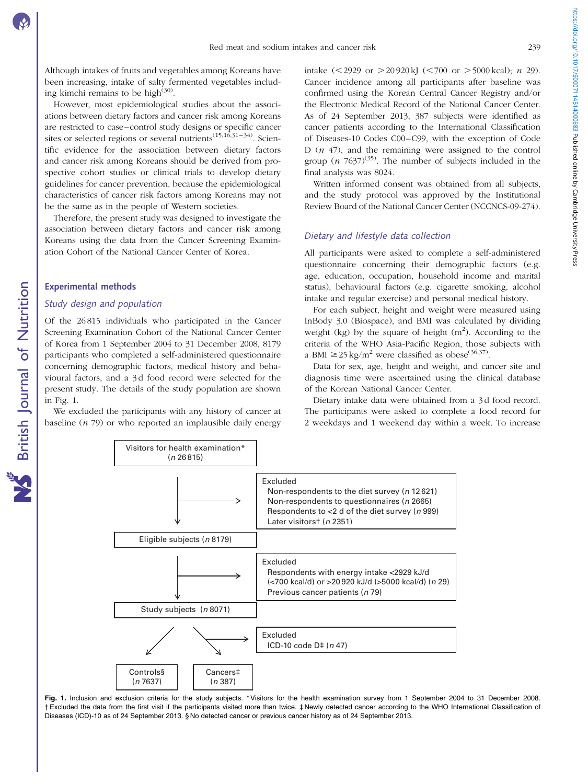Although intakes of fruits and vegetables among Koreans have been increasing, intake of salty fermented vegetables including kimchi remains to be high $(30)$ .

However, most epidemiological studies about the associations between dietary factors and cancer risk among Koreans are restricted to case–control study designs or specific cancer sites or selected regions or several nutrients<sup> $(15,16,31-34)$ </sup>. Scientific evidence for the association between dietary factors and cancer risk among Koreans should be derived from prospective cohort studies or clinical trials to develop dietary guidelines for cancer prevention, because the epidemiological characteristics of cancer risk factors among Koreans may not be the same as in the people of Western societies.

Therefore, the present study was designed to investigate the association between dietary factors and cancer risk among Koreans using the data from the Cancer Screening Examination Cohort of the National Cancer Center of Korea.

# Experimental methods

# Study design and population

Of the 26 815 individuals who participated in the Cancer Screening Examination Cohort of the National Cancer Center of Korea from 1 September 2004 to 31 December 2008, 8179 participants who completed a self-administered questionnaire concerning demographic factors, medical history and behavioural factors, and a 3 d food record were selected for the present study. The details of the study population are shown in Fig. 1.

We excluded the participants with any history of cancer at baseline  $(n 79)$  or who reported an implausible daily energy

intake  $(<2929 \text{ or } >20920 \text{ kJ } (<700 \text{ or } >5000 \text{ kcal})$ ; n 29). Cancer incidence among all participants after baseline was confirmed using the Korean Central Cancer Registry and/or the Electronic Medical Record of the National Cancer Center. As of 24 September 2013, 387 subjects were identified as cancer patients according to the International Classification of Diseases-10 Codes C00–C99, with the exception of Code D  $(n \, 47)$ , and the remaining were assigned to the control group ( $n$  7637)<sup>(35)</sup>. The number of subjects included in the final analysis was 8024.

Written informed consent was obtained from all subjects, and the study protocol was approved by the Institutional Review Board of the National Cancer Center (NCCNCS-09-274).

# Dietary and lifestyle data collection

All participants were asked to complete a self-administered questionnaire concerning their demographic factors (e.g. age, education, occupation, household income and marital status), behavioural factors (e.g. cigarette smoking, alcohol intake and regular exercise) and personal medical history.

For each subject, height and weight were measured using InBody 3.0 (Biospace), and BMI was calculated by dividing weight (kg) by the square of height  $(m^2)$ . According to the criteria of the WHO Asia-Pacific Region, those subjects with a BMI  $\geq$ 25 kg/m<sup>2</sup> were classified as obese<sup>(36,37)</sup>.

Data for sex, age, height and weight, and cancer site and diagnosis time were ascertained using the clinical database of the Korean National Cancer Center.

Dietary intake data were obtained from a 3 d food record. The participants were asked to complete a food record for 2 weekdays and 1 weekend day within a week. To increase



Fig. 1. Inclusion and exclusion criteria for the study subjects. \*Visitors for the health examination survey from 1 September 2004 to 31 December 2008. † Excluded the data from the first visit if the participants visited more than twice. ‡ Newly detected cancer according to the WHO International Classification of Diseases (ICD)-10 as of 24 September 2013. § No detected cancer or previous cancer history as of 24 September 2013.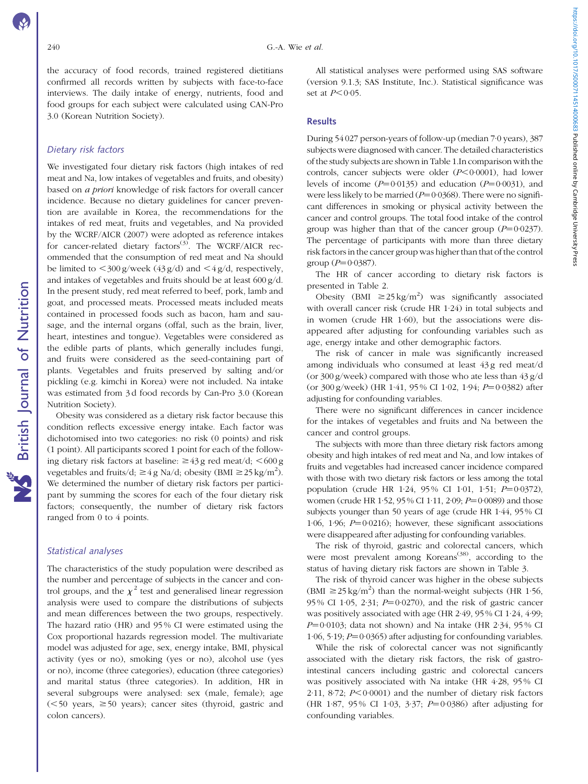the accuracy of food records, trained registered dietitians confirmed all records written by subjects with face-to-face interviews. The daily intake of energy, nutrients, food and food groups for each subject were calculated using CAN-Pro 3.0 (Korean Nutrition Society).

# Dietary risk factors

We investigated four dietary risk factors (high intakes of red meat and Na, low intakes of vegetables and fruits, and obesity) based on a priori knowledge of risk factors for overall cancer incidence. Because no dietary guidelines for cancer prevention are available in Korea, the recommendations for the intakes of red meat, fruits and vegetables, and Na provided by the WCRF/AICR (2007) were adopted as reference intakes for cancer-related dietary factors<sup>(3)</sup>. The WCRF/AICR recommended that the consumption of red meat and Na should be limited to  $\langle 300 \text{ g/week } (43 \text{ g/d})$  and  $\langle 4 \text{ g/d} \rangle$ , respectively, and intakes of vegetables and fruits should be at least 600 g/d. In the present study, red meat referred to beef, pork, lamb and goat, and processed meats. Processed meats included meats contained in processed foods such as bacon, ham and sausage, and the internal organs (offal, such as the brain, liver, heart, intestines and tongue). Vegetables were considered as the edible parts of plants, which generally includes fungi, and fruits were considered as the seed-containing part of plants. Vegetables and fruits preserved by salting and/or pickling (e.g. kimchi in Korea) were not included. Na intake was estimated from 3 d food records by Can-Pro 3.0 (Korean Nutrition Society).

Obesity was considered as a dietary risk factor because this condition reflects excessive energy intake. Each factor was dichotomised into two categories: no risk (0 points) and risk (1 point). All participants scored 1 point for each of the following dietary risk factors at baseline:  $\geq 43$  g red meat/d;  $\leq 600$  g vegetables and fruits/d;  $\geq 4$  g Na/d; obesity (BMI  $\geq 25$  kg/m<sup>2</sup>). We determined the number of dietary risk factors per participant by summing the scores for each of the four dietary risk factors; consequently, the number of dietary risk factors ranged from 0 to 4 points.

## Statistical analyses

The characteristics of the study population were described as the number and percentage of subjects in the cancer and control groups, and the  $\chi^2$  test and generalised linear regression analysis were used to compare the distributions of subjects and mean differences between the two groups, respectively. The hazard ratio (HR) and 95 % CI were estimated using the Cox proportional hazards regression model. The multivariate model was adjusted for age, sex, energy intake, BMI, physical activity (yes or no), smoking (yes or no), alcohol use (yes or no), income (three categories), education (three categories) and marital status (three categories). In addition, HR in several subgroups were analysed: sex (male, female); age  $(<50$  years,  $\geq 50$  years); cancer sites (thyroid, gastric and colon cancers).

All statistical analyses were performed using SAS software (version 9.1.3; SAS Institute, Inc.). Statistical significance was set at  $P<0.05$ .

# **Results**

During 54027 person-years of follow-up (median 7·0 years), 387 subjects were diagnosed with cancer. The detailed characteristics of the study subjects are shown in [Table 1](#page-3-0).In comparison with the controls, cancer subjects were older  $(P<0.0001)$ , had lower levels of income  $(P=0.0135)$  and education  $(P=0.0031)$ , and were less likely to be married ( $P=0.0368$ ). There were no significant differences in smoking or physical activity between the cancer and control groups. The total food intake of the control group was higher than that of the cancer group  $(P=0.0237)$ . The percentage of participants with more than three dietary risk factors in the cancer group was higher than that of the control group  $(P=0.0387)$ .

The HR of cancer according to dietary risk factors is presented in [Table 2](#page-5-0).

Obesity (BMI  $\geq$ 25 kg/m<sup>2</sup>) was significantly associated with overall cancer risk (crude HR 1·24) in total subjects and in women (crude HR 1·60), but the associations were disappeared after adjusting for confounding variables such as age, energy intake and other demographic factors.

The risk of cancer in male was significantly increased among individuals who consumed at least 43 g red meat/d (or  $300 \text{ g/week}$ ) compared with those who ate less than  $43 \text{ g/d}$ (or 300 g/week) (HR 1·41, 95 % CI 1·02, 1·94;  $P=0.0382$ ) after adjusting for confounding variables.

There were no significant differences in cancer incidence for the intakes of vegetables and fruits and Na between the cancer and control groups.

The subjects with more than three dietary risk factors among obesity and high intakes of red meat and Na, and low intakes of fruits and vegetables had increased cancer incidence compared with those with two dietary risk factors or less among the total population (crude HR 1.24, 95% CI 1.01, 1.51;  $P=0.0372$ ), women (crude HR 1.52, 95% CI 1.11, 2.09;  $P=0.0089$ ) and those subjects younger than 50 years of age (crude HR 1·44, 95% CI 1.06, 1.96;  $P=0.0216$ ); however, these significant associations were disappeared after adjusting for confounding variables.

The risk of thyroid, gastric and colorectal cancers, which were most prevalent among Koreans<sup>(38)</sup>, according to the status of having dietary risk factors are shown in [Table 3](#page-6-0).

The risk of thyroid cancer was higher in the obese subjects (BMI  $\geq$  25 kg/m<sup>2</sup>) than the normal-weight subjects (HR 1·56, 95% CI 1.05, 2.31;  $P=0.0270$ ), and the risk of gastric cancer was positively associated with age (HR 2·49, 95 % CI 1·24, 4·99;  $P=0.0103$ ; data not shown) and Na intake (HR 2.34, 95% CI 1.06, 5.19;  $P=0.0365$ ) after adjusting for confounding variables.

While the risk of colorectal cancer was not significantly associated with the dietary risk factors, the risk of gastrointestinal cancers including gastric and colorectal cancers was positively associated with Na intake (HR 4·28, 95 % CI 2.11, 8.72;  $P \le 0.0001$ ) and the number of dietary risk factors (HR 1.87, 95% CI 1.03, 3.37;  $P=0.0386$ ) after adjusting for confounding variables.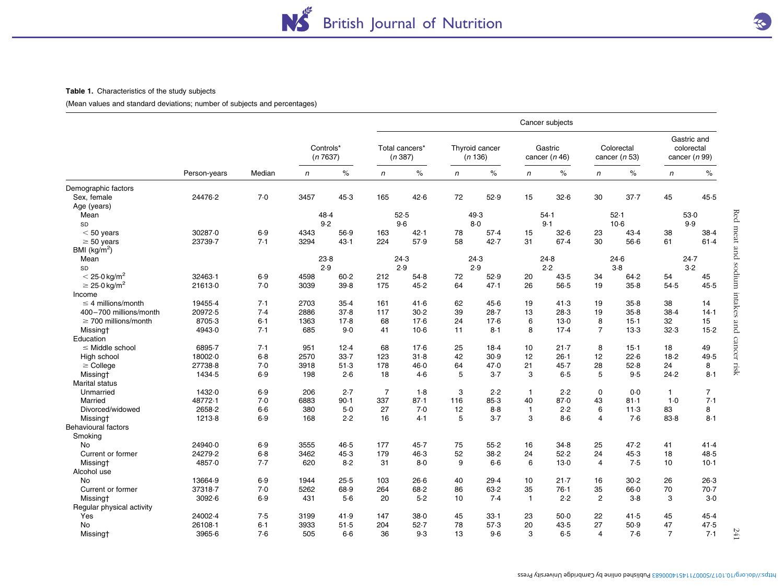#### <span id="page-3-0"></span>**Table 1.** Characteristics of the study subjects

(Mean values and standard deviations; number of subjects and percentages)

|                                    |              |         |                      |          |                           |          |                           |          |                            | Cancer subjects |                               |          |                                              |                |
|------------------------------------|--------------|---------|----------------------|----------|---------------------------|----------|---------------------------|----------|----------------------------|-----------------|-------------------------------|----------|----------------------------------------------|----------------|
|                                    |              |         | Controls*<br>(n7637) |          | Total cancers*<br>(n 387) |          | Thyroid cancer<br>(n 136) |          | Gastric<br>cancer $(n 46)$ |                 | Colorectal<br>cancer $(n 53)$ |          | Gastric and<br>colorectal<br>cancer $(n 99)$ |                |
|                                    | Person-years | Median  | $\mathsf{n}$         | $\%$     | $\sqrt{n}$                | $\%$     | $\sqrt{n}$                | $\%$     | $\mathsf{n}$               | $\%$            | $\mathsf{n}$                  | $\%$     | n                                            | $\%$           |
| Demographic factors                |              |         |                      |          |                           |          |                           |          |                            |                 |                               |          |                                              |                |
| Sex, female                        | 24476.2      | 7.0     | 3457                 | 45.3     | 165                       | 42.6     | 72                        | 52.9     | 15                         | 32.6            | 30                            | 37.7     | 45                                           | 45.5           |
| Age (years)                        |              |         |                      |          |                           |          |                           |          |                            |                 |                               |          |                                              |                |
| Mean                               |              |         | 48.4                 |          |                           | 52.5     |                           | 49.3     |                            | 54.1            | 52.1                          |          | 53.0                                         |                |
| SD                                 |              |         | 9.2                  |          |                           | $9-6$    |                           | $8-0$    |                            | 9.1             |                               | $10-6$   |                                              | 9.9            |
| $< 50$ years                       | 30287-0      | 6.9     | 4343                 | 56.9     | 163                       | 42.1     | 78                        | 57.4     | 15                         | 32.6            | 23                            | 43.4     | 38                                           | $38-4$         |
| $\geq$ 50 years                    | 23739.7      | 7.1     | 3294                 | 43.1     | 224                       | 57.9     | 58                        | 42.7     | 31                         | 67.4            | 30                            | $56-6$   | 61                                           | 61.4           |
| BMI (kg/m <sup>2</sup> )           |              |         |                      |          |                           |          |                           |          |                            |                 |                               |          |                                              |                |
| Mean                               |              |         |                      | 23.8     |                           | 24.3     |                           | 24.3     |                            | 24.8            |                               | 24.6     |                                              | 24.7           |
| SD                                 |              |         | 2.9                  |          |                           | 2.9      |                           | 2.9      |                            | 2.2             |                               | $3-8$    |                                              | $3-2$          |
| $<$ 25 $\cdot$ 0 kg/m <sup>2</sup> | 32463-1      | 6.9     | 4598                 | $60 - 2$ | 212                       | 54.8     | 72                        | 52.9     | 20                         | 43.5            | 34                            | 64.2     | 54                                           | 45             |
| $\geq$ 25.0 kg/m <sup>2</sup>      | 21613-0      | 7.0     | 3039                 | 39.8     | 175                       | 45.2     | 64                        | 47.1     | 26                         | $56-5$          | 19                            | $35 - 8$ | 54.5                                         | 45.5           |
| Income                             |              |         |                      |          |                           |          |                           |          |                            |                 |                               |          |                                              |                |
| $\leq$ 4 millions/month            | 19455-4      | 7.1     | 2703                 | $35-4$   | 161                       | 41.6     | 62                        | 45.6     | 19                         | 41.3            | 19                            | $35 - 8$ | 38                                           | 14             |
| 400-700 millions/month             | 20972-5      | 7.4     | 2886                 | 37.8     | 117                       | 30.2     | 39                        | 28.7     | 13                         | 28.3            | 19                            | $35 - 8$ | $38-4$                                       | $14-1$         |
| $\geq$ 700 millions/month          | 8705-3       | $6 - 1$ | 1363                 | 17.8     | 68                        | $17-6$   | 24                        | 17.6     | 6                          | $13-0$          | 8                             | $15-1$   | 32                                           | 15             |
| Missing†                           | 4943.0       | 7.1     | 685                  | 9.0      | 41                        | $10-6$   | 11                        | $8 - 1$  | 8                          | $17-4$          | $\overline{7}$                | 13.3     | 32.3                                         | $15-2$         |
| Education                          |              |         |                      |          |                           |          |                           |          |                            |                 |                               |          |                                              |                |
| $\leq$ Middle school               | 6895.7       | 7.1     | 951                  | 12.4     | 68                        | 17.6     | 25                        | $18-4$   | 10                         | $21-7$          | 8                             | $15-1$   | 18                                           | 49             |
| High school                        | 18002-0      | $6 - 8$ | 2570                 | 33.7     | 123                       | 31.8     | 42                        | 30.9     | 12                         | $26 - 1$        | 12                            | 22.6     | 18.2                                         | 49.5           |
| $\geq$ College                     | 27738-8      | 7.0     | 3918                 | 51.3     | 178                       | $46 - 0$ | 64                        | 47.0     | 21                         | 45.7            | 28                            | 52.8     | 24                                           | 8              |
| Missing†                           | 1434.5       | 6.9     | 198                  | 2.6      | 18                        | $4-6$    | 5                         | $3-7$    | 3                          | 6.5             | 5                             | 9.5      | 24.2                                         | $8-1$          |
| <b>Marital status</b>              |              |         |                      |          |                           |          |                           |          |                            |                 |                               |          |                                              |                |
| Unmarried                          | 1432-0       | 6.9     | 206                  | 2.7      | $\overline{7}$            | $1-8$    | 3                         | 2.2      | $\mathbf{1}$               | 2.2             | $\mathbf 0$                   | 0.0      | $\mathbf{1}$                                 | $\overline{7}$ |
| Married                            | 48772-1      | 7.0     | 6883                 | 90.1     | 337                       | 87.1     | 116                       | 85.3     | 40                         | 87.0            | 43                            | $81 - 1$ | $1-0$                                        | 7.1            |
| Divorced/widowed                   | 2658-2       | $6-6$   | 380                  | $5-0$    | 27                        | 7.0      | 12                        | $8 - 8$  | $\mathbf{1}$               | 2.2             | 6                             | 11.3     | 83                                           | 8              |
| Missing†                           | 1213-8       | 6.9     | 168                  | 2.2      | 16                        | 4.1      | 5                         | 3.7      | 3                          | $8-6$           | $\overline{4}$                | 7.6      | 83-8                                         | $8 - 1$        |
| <b>Behavioural factors</b>         |              |         |                      |          |                           |          |                           |          |                            |                 |                               |          |                                              |                |
| Smoking                            |              |         |                      |          |                           |          |                           |          |                            |                 |                               |          |                                              |                |
| No                                 | 24940.0      | 6.9     | 3555                 | $46 - 5$ | 177                       | 45.7     | 75                        | 55.2     | 16                         | 34.8            | 25                            | 47.2     | 41                                           | 41.4           |
| Current or former                  | 24279.2      | $6 - 8$ | 3462                 | 45.3     | 179                       | 46.3     | 52                        | 38.2     | 24                         | 52.2            | 24                            | 45.3     | 18                                           | 48.5           |
| Missing†                           | 4857.0       | 7.7     | 620                  | 8.2      | 31                        | $8-0$    | 9                         | $6-6$    | 6                          | $13-0$          | $\overline{4}$                | 7.5      | 10                                           | $10-1$         |
| Alcohol use                        |              |         |                      |          |                           |          |                           |          |                            |                 |                               |          |                                              |                |
| No                                 | 13664-9      | 6.9     | 1944                 | 25.5     | 103                       | $26-6$   | 40                        | 29.4     | 10                         | 21.7            | 16                            | 30.2     | 26                                           | $26-3$         |
| Current or former                  | 37318-7      | 7.0     | 5262                 | 68.9     | 264                       | 68.2     | 86                        | 63.2     | 35                         | $76-1$          | 35                            | 66.0     | 70                                           | $70-7$         |
| Missing†                           | $3092 - 6$   | 6.9     | 431                  | 5.6      | 20                        | $5-2$    | 10                        | 7.4      | $\mathbf{1}$               | 2.2             | $\overline{c}$                | $3-8$    | 3                                            | $3-0$          |
| Regular physical activity          |              |         |                      |          |                           |          |                           |          |                            |                 |                               |          |                                              |                |
| Yes                                | 24002.4      | 7.5     | 3199                 | 41.9     | 147                       | $38 - 0$ | 45                        | $33 - 1$ | 23                         | 50.0            | 22                            | 41.5     | 45                                           | 45.4           |
| No                                 | 26108-1      | $6 - 1$ | 3933                 | 51.5     | 204                       | 52.7     | 78                        | 57.3     | 20                         | 43.5            | 27                            | 50.9     | 47                                           | 47.5           |
| Missing†                           | 3965-6       | 7.6     | 505                  | $6-6$    | 36                        | 9.3      | 13                        | 9.6      | 3                          | $6-5$           | $\overline{4}$                | 7.6      | $\overline{7}$                               | 7.1            |
|                                    |              |         |                      |          |                           |          |                           |          |                            |                 |                               |          |                                              |                |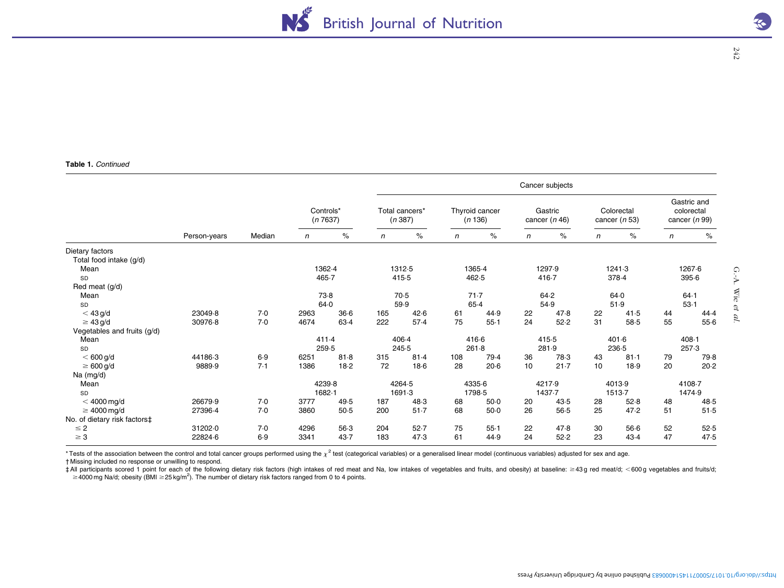

#### **Table 1.** Continued

|                                            |              |        |                      |        | Cancer subjects           |        |                           |          |                            |          |                               |        |        |                                              |  |  |
|--------------------------------------------|--------------|--------|----------------------|--------|---------------------------|--------|---------------------------|----------|----------------------------|----------|-------------------------------|--------|--------|----------------------------------------------|--|--|
|                                            | Person-years |        | Controls*<br>(n7637) |        | Total cancers*<br>(n 387) |        | Thyroid cancer<br>(n 136) |          | Gastric<br>cancer $(n 46)$ |          | Colorectal<br>cancer $(n 53)$ |        |        | Gastric and<br>colorectal<br>cancer $(n 99)$ |  |  |
|                                            |              | Median | n                    | $\%$   | $\mathsf{n}$              | $\%$   | n                         | $\%$     | n                          | $\%$     | n                             | %      | n      | $\%$                                         |  |  |
| Dietary factors<br>Total food intake (g/d) |              |        |                      |        |                           |        |                           |          |                            |          |                               |        |        |                                              |  |  |
| Mean                                       |              |        | 1362.4               |        |                           | 1312-5 |                           | 1365.4   |                            | 1297.9   |                               | 1241.3 |        | 1267.6                                       |  |  |
| SD                                         |              |        | $465 - 7$            |        | 415.5                     |        | 462.5                     |          | 416-7                      |          | 378.4                         |        | 395.6  |                                              |  |  |
| Red meat (g/d)                             |              |        |                      |        |                           |        |                           |          |                            |          |                               |        |        |                                              |  |  |
| Mean                                       |              |        | 73.8                 |        |                           | 70.5   |                           | 71.7     |                            | 64.2     |                               | 64.0   |        | 64.1                                         |  |  |
| SD                                         |              |        | 64.0                 |        |                           | 59.9   | $65-4$                    |          | 54.9                       |          | 51.9                          |        | $53-1$ |                                              |  |  |
| $<$ 43 g/d                                 | 23049-8      | 7.0    | 2963                 | $36-6$ | 165                       | 42.6   | 61                        | 44.9     | 22                         | 47.8     | 22                            | 41.5   | 44     | 44.4                                         |  |  |
| $\geq 43$ g/d                              | 30976-8      | 7.0    | 4674                 | 63.4   | 222                       | 57.4   | 75                        | $55-1$   | 24                         | 52.2     | 31                            | 58.5   | 55     | 55.6                                         |  |  |
| Vegetables and fruits (g/d)                |              |        |                      |        |                           |        |                           |          |                            |          |                               |        |        |                                              |  |  |
| Mean                                       |              |        | 411.4                |        |                           | 406.4  |                           | 416-6    |                            | 415-5    |                               | 401.6  |        | $408 - 1$                                    |  |  |
| SD                                         |              |        | 259.5                |        | 245.5                     |        | $261-8$                   |          | 281.9                      |          | 236.5                         |        | 257.3  |                                              |  |  |
| $< 600$ g/d                                | 44186-3      | 6.9    | 6251                 | 81.8   | 315                       | 81.4   | 108                       | 79.4     | 36                         | 78.3     | 43                            | $81-1$ | 79     | 79.8                                         |  |  |
| $\geq 600$ g/d                             | 9889.9       | 7.1    | 1386                 | 18.2   | 72                        | $18-6$ | 28                        | $20-6$   | 10                         | $21 - 7$ | 10                            | 18.9   | 20     | 20.2                                         |  |  |
| Na (mg/d)                                  |              |        |                      |        |                           |        |                           |          |                            |          |                               |        |        |                                              |  |  |
| Mean                                       |              |        | 4239.8               |        |                           | 4264.5 |                           | 4335.6   |                            | 4217.9   |                               | 4013-9 |        | 4108-7                                       |  |  |
| SD                                         |              |        | 1682-1               |        | 1691.3                    |        | 1798-5                    |          | 1437.7                     |          | 1513-7                        |        | 1474.9 |                                              |  |  |
| $<$ 4000 mg/d                              | 26679.9      | 7.0    | 3777                 | 49.5   | 187                       | 48.3   | 68                        | $50-0$   | 20                         | 43.5     | 28                            | 52.8   | 48     | 48.5                                         |  |  |
| $\geq 4000$ mg/d                           | 27396-4      | 7.0    | 3860                 | 50.5   | 200                       | 51.7   | 68                        | $50-0$   | 26                         | $56-5$   | 25                            | 47.2   | 51     | 51.5                                         |  |  |
| No. of dietary risk factors‡               |              |        |                      |        |                           |        |                           |          |                            |          |                               |        |        |                                              |  |  |
| $\leq 2$                                   | 31202-0      | 7.0    | 4296                 | $56-3$ | 204                       | 52.7   | 75                        | $55 - 1$ | 22                         | 47.8     | 30                            | $56-6$ | 52     | 52.5                                         |  |  |
| $\geq 3$                                   | 22824-6      | 6.9    | 3341                 | 43.7   | 183                       | 47.3   | 61                        | 44.9     | 24                         | 52.2     | 23                            | 43.4   | 47     | 47.5                                         |  |  |
|                                            |              |        |                      |        |                           |        |                           |          |                            |          |                               |        |        |                                              |  |  |

\* Tests of the association between the control and total cancer groups performed using the  $\chi^2$  test (categorical variables) or a generalised linear model (continuous variables) adjusted for sex and age. † Missing included no response or unwilling to respond.

‡ All participants scored 1 point for each of the following dietary risk factors (high intakes of red meat and Na, low intakes of vegetables and fruits, and obesity) at baseline: ≥43 g red meat/d; <600 g vegetables and fr  $\ge$  4000 mg Na/d; obesity (BMI  $\ge$  25 kg/m<sup>2</sup>). The number of dietary risk factors ranged from 0 to 4 points.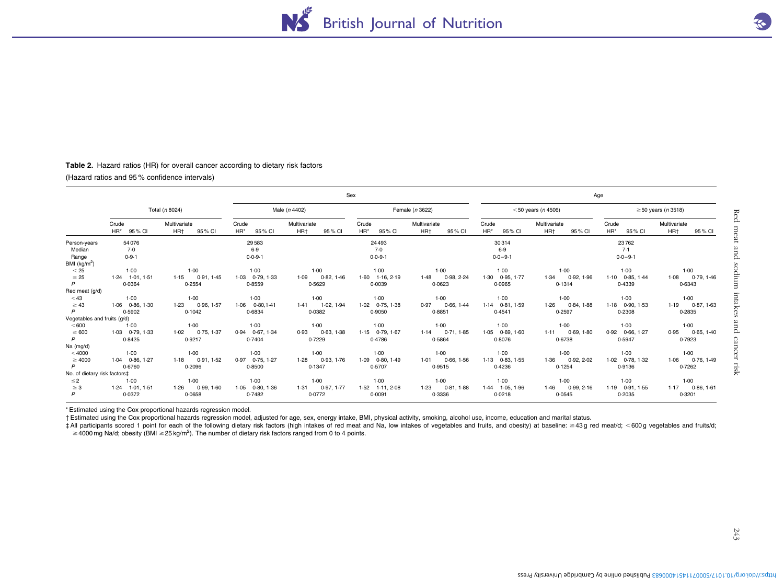**NS** British Journal of Nutrition

#### <span id="page-5-0"></span>Table 2. Hazard ratios (HR) for overall cancer according to dietary risk factors

(Hazard ratios and 95 % confidence intervals)

|                              |                          |                                           |                           | Sex                                       | Age                      |                                           |                        |                                           |                                  |                                           |  |  |
|------------------------------|--------------------------|-------------------------------------------|---------------------------|-------------------------------------------|--------------------------|-------------------------------------------|------------------------|-------------------------------------------|----------------------------------|-------------------------------------------|--|--|
|                              |                          | Total (n 8024)                            |                           | Male (n 4402)                             |                          | Female (n 3622)                           |                        | $<$ 50 years (n 4506)                     | $\geq$ 50 years ( <i>n</i> 3518) |                                           |  |  |
|                              | Crude<br>95% CI<br>$HR*$ | Multivariate<br>HR <sup>+</sup><br>95% CI | Crude<br>$HR*$<br>95 % CI | Multivariate<br>HR <sub>t</sub><br>95% CI | Crude<br>$HR*$<br>95% CI | Multivariate<br>95% CI<br>HR <sup>+</sup> | Crude<br>HR*<br>95% CI | Multivariate<br>HR <sup>+</sup><br>95% CI | Crude<br>HR*<br>95% CI           | Multivariate<br>HR <sub>†</sub><br>95% CI |  |  |
|                              |                          |                                           |                           |                                           |                          |                                           |                        |                                           |                                  |                                           |  |  |
| Person-years                 | 54076                    |                                           | 29583                     |                                           | 24493                    |                                           | 30314                  |                                           | 23762                            |                                           |  |  |
| Median                       | 7.0                      |                                           | 6.9                       |                                           | 7.0                      |                                           | 6.9                    |                                           | 7.1                              |                                           |  |  |
| Range                        | $0 - 9 - 1$              |                                           | $0.0 - 9.1$               |                                           | $0.0 - 9.1$              |                                           | $0.0 - 9.1$            |                                           | $0.0 - 9.1$                      |                                           |  |  |
| BMI ( $kg/m2$ )              |                          |                                           |                           |                                           |                          |                                           |                        |                                           |                                  |                                           |  |  |
| < 25                         | 1.00                     | $1-00$                                    | $1-00$<br>1.00            |                                           | 1.00                     | $1 - 00$                                  | 1.00                   | 1.00                                      | $1-00$                           | 1.00                                      |  |  |
| $\geq 25$                    | $1.24$ $1.01$ , $1.51$   | 0.91.145<br>1.15                          | 1.03 0.79 1.33            | 0.82, 1.46<br>$1-09$                      | $1.60$ $1.16$ , $2.19$   | 0.98, 2.24<br>1.48                        | 1.30 0.95, 1.77        | 1.34<br>0.92, 1.96                        | 1.10 0.85, 1.44                  | 0.79, 1.46<br>1.08                        |  |  |
| $\overline{P}$               | 0.0364                   | 0.2554                                    | 0.8559                    | 0.5629                                    | 0.0039                   | 0.0623                                    | 0.0965                 | 0.1314                                    | 0.4339                           | 0.6343                                    |  |  |
| Red meat (g/d)               |                          |                                           |                           |                                           |                          |                                           |                        |                                           |                                  |                                           |  |  |
| $<$ 43                       | 1.00                     | $1-00$                                    | $1-00$                    | 1.00                                      | 1.00                     | $1-00$                                    | 1.00                   | $1-00$                                    | 1.00                             | $1-00$                                    |  |  |
| $\geq 43$                    | 1.06 0.86, 1.30          | 0.96, 1.57<br>1.23                        | 1.06 0.80.1.41            | 1.02, 1.94<br>$1-41$                      | $1.02$ $0.75, 1.38$      | 0.66, 1.44<br>0.97                        | $1.14$ $0.81, 1.59$    | 0.84, 1.88<br>1.26                        | 1.18 0.90, 1.53                  | 1.19 0.87, 1.63                           |  |  |
| P                            | 0.5902                   | 0.1042                                    | 0.6834                    | 0.0382                                    | 0.9050                   | 0.8851                                    | 0.4541                 | 0.2597                                    | 0.2308                           | 0.2835                                    |  |  |
| Vegetables and fruits (g/d)  |                          |                                           |                           |                                           |                          |                                           |                        |                                           |                                  |                                           |  |  |
| < 600                        | 1.00                     | 1.00                                      | 1.00                      | 1.00                                      | 1.00                     | $1 - 00$                                  | 1.00                   | 1.00                                      | 1.00                             | $1-00$                                    |  |  |
| $\geq 600$                   | 1.03 0.79 1.33           | 0.75.137<br>1.02                          | 0.94<br>0.67, 1.34        | 0.93<br>0.63, 1.38                        | 1.15 0.79 1.67           | 0.71.1.85<br>1.14                         | $1.05$ $0.69$ , $1.60$ | 0.69.180<br>1.11                          | $0.92$ $0.66$ , $1.27$           | 0.65, 1.40<br>0.95                        |  |  |
| P                            | 0.8425                   | 0.9217                                    | 0.7404                    | 0.7229                                    | 0-4786                   | 0.5864                                    | 0.8076                 | 0.6738                                    | 0.5947                           | 0.7923                                    |  |  |
| Na (mg/d)                    |                          |                                           |                           |                                           |                          |                                           |                        |                                           |                                  |                                           |  |  |
| $<$ 4000                     | 1.00                     | 1.00                                      | $1-00$                    | $1-00$                                    | 1.00                     | $1 - 00$                                  | 1.00                   | $1-00$                                    | 1.00                             | 1.00                                      |  |  |
| $\geq 4000$                  | 1.04 0.86, 1.27          | 0.91, 1.52<br>1.18                        | 0.97 0.75, 1.27           | 1.28<br>0.93, 1.76                        | 1.09 0.80, 1.49          | 0.66.1.56<br>$1-01$                       | $1.13$ $0.83, 1.55$    | 0.92, 2.02<br>1.36                        | 1.02 0.78 1.32                   | 0.76, 1.49<br>1.06                        |  |  |
| P                            | 0.6760                   | 0.2096                                    | 0.8500                    | 0.1347                                    | 0.5707                   | 0.9515                                    | 0.4236                 | 0.1254                                    | 0.9136                           | 0.7262                                    |  |  |
| No. of dietary risk factors‡ |                          |                                           |                           |                                           |                          |                                           |                        |                                           |                                  |                                           |  |  |
| $\leq$ 2                     | 1.00                     | 1.00                                      | 1.00                      | 1.00                                      | $1-00$                   | $1-00$                                    | $1-00$                 | 1.00                                      | $1-00$                           | 1.00                                      |  |  |
| $\geq$ 3                     | $1.24$ $1.01$ , $1.51$   | 0.99, 1.60<br>1.26                        | $1.05$ $0.80, 1.36$       | 0.97, 1.77<br>$1-31$                      | $1.52$ $1.11$ , $2.08$   | 1.23<br>0.81, 1.88                        | 1.44 1.05, 1.96        | 1.46<br>0.99, 2.16                        | $1.19$ 0.91, 1.55                | 0.86, 1.61<br>1.17                        |  |  |
| P                            | 0.0372                   | 0.0658                                    | 0.7482                    | 0.0772                                    | 0.0091                   | 0.3336                                    | 0.0218                 | 0.0545                                    | 0.2035                           | 0.3201                                    |  |  |

\* Estimated using the Cox proportional hazards regression model.

† Estimated using the Cox proportional hazards regression model, adjusted for age, sex, energy intake, BMI, physical activity, smoking, alcohol use, income, education and marital status.

‡ All participants scored 1 point for each of the following dietary risk factors (high intakes of red meat and Na, low intakes of vegetables and fruits, and obesity) at baseline: ≥43g red meat/d; <600g vegetables and frui  $\geq$ 4000 mg Na/d; obesity (BMI  $\geq$ 25 kg/m<sup>2</sup>). The number of dietary risk factors ranged from 0 to 4 points.

243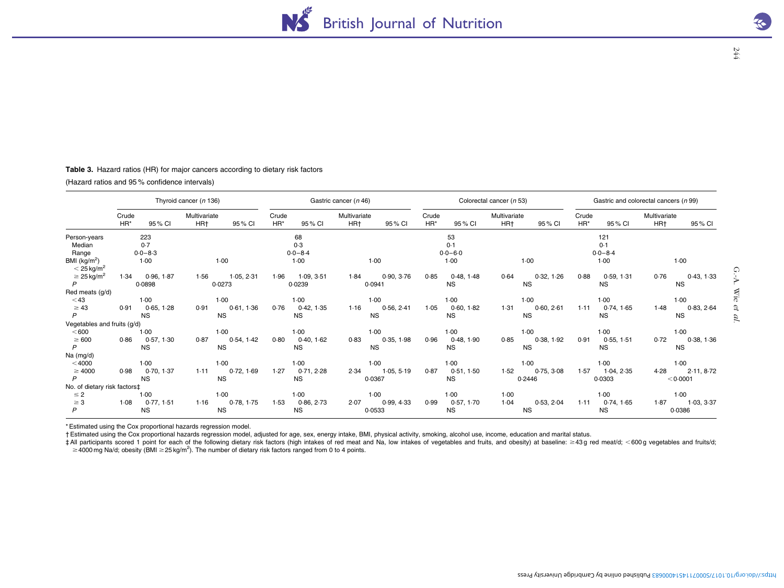**NS** British Journal of Nutrition

# $244$

#### <span id="page-6-0"></span>Table 3. Hazard ratios (HR) for major cancers according to dietary risk factors

(Hazard ratios and 95 % confidence intervals)

|                                                      | Thyroid cancer (n 136) |            |                                 |             | Gastric cancer (n 46) |            |                     |             | Colorectal cancer (n 53) |            |                     |             |                 | Gastric and colorectal cancers (n 99) |                                 |            |  |
|------------------------------------------------------|------------------------|------------|---------------------------------|-------------|-----------------------|------------|---------------------|-------------|--------------------------|------------|---------------------|-------------|-----------------|---------------------------------------|---------------------------------|------------|--|
|                                                      | Crude<br>$HR*$         | 95 % CI    | Multivariate<br>HR <sub>†</sub> | 95% CI      | Crude<br>$HR*$        | 95% CI     | Multivariate<br>HR† | 95% CI      | Crude<br>HR*             | 95 % CI    | Multivariate<br>HR† | 95% CI      | Crude<br>$HR^*$ | 95% CI                                | Multivariate<br>HR <sub>†</sub> | 95 % CI    |  |
| Person-years                                         |                        | 223        |                                 |             |                       | 68         |                     |             |                          | 53         |                     |             |                 | 121                                   |                                 |            |  |
| Median                                               |                        | 0.7        |                                 |             |                       | 0.3        |                     |             |                          | 0.1        |                     |             |                 | 0.1                                   |                                 |            |  |
| Range                                                | $0.0 - 8.3$            |            |                                 | $0.0 - 8.4$ |                       |            |                     | $0.0 - 6.0$ |                          |            |                     | $0.0 - 8.4$ |                 |                                       |                                 |            |  |
| BMI (kg/m <sup>2</sup> )<br>$<$ 25 kg/m <sup>2</sup> |                        | $1-00$     |                                 | 1.00        |                       | $1-00$     |                     | 1.00        |                          | 1.00       |                     | 1.00        |                 | 1.00                                  |                                 | 1.00       |  |
| $\geq$ 25 kg/m <sup>2</sup>                          | 1.34                   | 0.96, 1.87 | 1.56                            | 1.05, 2.31  | 1.96                  | 1.09, 3.51 | 1.84                | 0.90, 3.76  | 0.85                     | 0.48, 1.48 | 0.64                | 0.32, 1.26  | 0.88            | 0.59, 1.31                            | 0.76                            | 0.43, 1.33 |  |
| P                                                    |                        | 0.0898     |                                 | 0.0273      |                       | 0.0239     |                     | 0.0941      |                          | <b>NS</b>  |                     | <b>NS</b>   |                 | <b>NS</b>                             |                                 | <b>NS</b>  |  |
| Red meats (g/d)                                      |                        |            |                                 |             |                       |            |                     |             |                          |            |                     |             |                 |                                       |                                 |            |  |
| $<$ 43                                               |                        | $1-00$     |                                 | 1.00        |                       | 1.00       |                     | $1-00$      |                          | 1.00       |                     | 1.00        |                 | 1.00                                  |                                 | $1-00$     |  |
| $\geq 43$                                            | 0.91                   | 0.65, 1.28 | 0.91                            | 0.61, 1.36  | 0.76                  | 0.42, 1.35 | 1.16                | 0.56, 2.41  | $1-05$                   | 0.60, 1.82 | 1.31                | 0.60, 2.61  | 1.11            | 0.74, 1.65                            | 1.48                            | 0.83, 2.64 |  |
| P                                                    |                        | <b>NS</b>  |                                 | <b>NS</b>   |                       | <b>NS</b>  |                     | <b>NS</b>   |                          | <b>NS</b>  |                     | <b>NS</b>   |                 | <b>NS</b>                             |                                 | <b>NS</b>  |  |
| Vegetables and fruits (g/d)                          |                        |            |                                 |             |                       |            |                     |             |                          |            |                     |             |                 |                                       |                                 |            |  |
| < 600                                                |                        | $1-00$     |                                 | 1.00        |                       | 1.00       |                     | $1-00$      |                          | 1.00       |                     | 1.00        |                 | 1.00                                  |                                 | $1-00$     |  |
| $\geq 600$                                           | 0.86                   | 0.57, 1.30 | 0.87                            | 0.54, 1.42  | 0.80                  | 0.40, 1.62 | 0.83                | 0.35, 1.98  | 0.96                     | 0.48, 1.90 | 0.85                | 0.38, 1.92  | 0.91            | 0.55, 1.51                            | 0.72                            | 0.38, 1.36 |  |
| P                                                    |                        | <b>NS</b>  |                                 | <b>NS</b>   |                       | <b>NS</b>  |                     | <b>NS</b>   |                          | <b>NS</b>  |                     | <b>NS</b>   |                 | <b>NS</b>                             |                                 | <b>NS</b>  |  |
| Na (mg/d)                                            |                        |            |                                 |             |                       |            |                     |             |                          |            |                     |             |                 |                                       |                                 |            |  |
| $<$ 4000                                             |                        | $1-00$     |                                 | 1.00        |                       | 1.00       |                     | $1-00$      |                          | 1.00       |                     | 1.00        |                 | 1.00                                  |                                 | $1-00$     |  |
| $\geq 4000$                                          | 0.98                   | 0.70, 1.37 | 1.11                            | 0.72, 1.69  | 1.27                  | 0.71, 2.28 | 2.34                | 1.05, 5.19  | 0.87                     | 0.51, 1.50 | 1.52                | 0.75, 3.08  | 1.57            | 1.04, 2.35                            | 4.28                            | 2.11, 8.72 |  |
| P                                                    |                        | <b>NS</b>  |                                 | <b>NS</b>   |                       | <b>NS</b>  |                     | 0.0367      |                          | <b>NS</b>  |                     | 0.2446      |                 | 0.0303                                |                                 | < 0.0001   |  |
| No. of dietary risk factors‡                         |                        |            |                                 |             |                       |            |                     |             |                          |            |                     |             |                 |                                       |                                 |            |  |
| $\leq 2$                                             |                        | $1-00$     |                                 | 1.00        |                       | $1 - 00$   |                     | $1-00$      |                          | 1.00       | 1.00                |             |                 | $1-00$                                |                                 | $1-00$     |  |
| $\geq 3$                                             | 1.08                   | 0.77, 1.51 | 1.16                            | 0.78, 1.75  | 1.53                  | 0.86, 2.73 | 2.07                | 0.99, 4.33  | 0.99                     | 0.57, 1.70 | 1.04                | 0.53, 2.04  | $1-11$          | 0.74, 1.65                            | 1.87                            | 1.03, 3.37 |  |
| P                                                    |                        | <b>NS</b>  |                                 | <b>NS</b>   |                       | <b>NS</b>  |                     | 0.0533      |                          | <b>NS</b>  |                     | <b>NS</b>   |                 | <b>NS</b>                             |                                 | 0.0386     |  |

\* Estimated using the Cox proportional hazards regression model.

† Estimated using the Cox proportional hazards regression model, adjusted for age, sex, energy intake, BMI, physical activity, smoking, alcohol use, income, education and marital status.

‡ All participants scored 1 point for each of the following dietary risk factors (high intakes of red meat and Na, low intakes of vegetables and fruits, and obesity) at baseline: ≥43g red meat/d; <600g vegetables and frui  $\geq$ 4000 mg Na/d; obesity (BMI  $\geq$ 25 kg/m<sup>2</sup>). The number of dietary risk factors ranged from 0 to 4 points.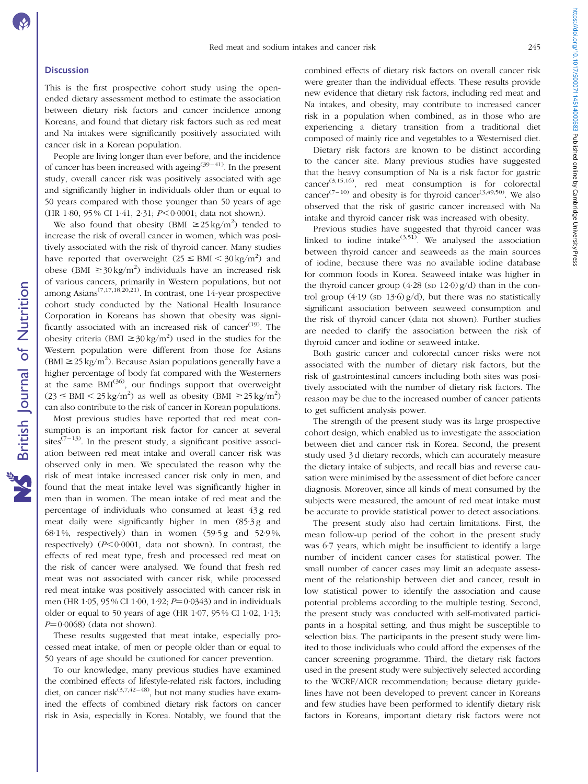#### **Discussion**

This is the first prospective cohort study using the openended dietary assessment method to estimate the association between dietary risk factors and cancer incidence among Koreans, and found that dietary risk factors such as red meat and Na intakes were significantly positively associated with cancer risk in a Korean population.

People are living longer than ever before, and the incidence of cancer has been increased with ageing<sup>(39–41)</sup>. In the present study, overall cancer risk was positively associated with age and significantly higher in individuals older than or equal to 50 years compared with those younger than 50 years of age (HR 1·80, 95% CI 1·41, 2·31;  $P < 0.0001$ ; data not shown).

We also found that obesity  $(BMI \geq 25 \text{ kg/m}^2)$  tended to increase the risk of overall cancer in women, which was positively associated with the risk of thyroid cancer. Many studies have reported that overweight  $(25 \leq BMI \leq 30 \text{ kg/m}^2)$  and obese (BMI  $\geq$  30 kg/m<sup>2</sup>) individuals have an increased risk of various cancers, primarily in Western populations, but not among Asians<sup> $(7,17,18,20,21)$ </sup>. In contrast, one 14-year prospective cohort study conducted by the National Health Insurance Corporation in Koreans has shown that obesity was significantly associated with an increased risk of cancer<sup>(19)</sup>. The obesity criteria (BMI  $\geq 30 \text{ kg/m}^2$ ) used in the studies for the Western population were different from those for Asians (BMI  $\geq$  25 kg/m<sup>2</sup>). Because Asian populations generally have a higher percentage of body fat compared with the Westerners at the same  $BMI^{(36)}$ , our findings support that overweight  $(23 \le BMI \le 25 \text{ kg/m}^2)$  as well as obesity  $(BMI \ge 25 \text{ kg/m}^2)$ can also contribute to the risk of cancer in Korean populations.

Most previous studies have reported that red meat consumption is an important risk factor for cancer at several sites<sup>(7–13)</sup>. In the present study, a significant positive association between red meat intake and overall cancer risk was observed only in men. We speculated the reason why the risk of meat intake increased cancer risk only in men, and found that the meat intake level was significantly higher in men than in women. The mean intake of red meat and the percentage of individuals who consumed at least 43 g red meat daily were significantly higher in men (85.3g and 68.1%, respectively) than in women  $(59.5 g$  and  $52.9$ %, respectively)  $(P<0.0001$ , data not shown). In contrast, the effects of red meat type, fresh and processed red meat on the risk of cancer were analysed. We found that fresh red meat was not associated with cancer risk, while processed red meat intake was positively associated with cancer risk in men (HR 1·05, 95 % CI 1·00, 1·92;  $P=0.0343$ ) and in individuals older or equal to 50 years of age (HR  $1·07$ , 95% CI  $1·02$ ,  $1·13$ ;  $P=0.0068$ ) (data not shown).

These results suggested that meat intake, especially processed meat intake, of men or people older than or equal to 50 years of age should be cautioned for cancer prevention.

To our knowledge, many previous studies have examined the combined effects of lifestyle-related risk factors, including diet, on cancer risk $(3,7,42-48)$ , but not many studies have examined the effects of combined dietary risk factors on cancer risk in Asia, especially in Korea. Notably, we found that the combined effects of dietary risk factors on overall cancer risk were greater than the individual effects. These results provide new evidence that dietary risk factors, including red meat and Na intakes, and obesity, may contribute to increased cancer risk in a population when combined, as in those who are experiencing a dietary transition from a traditional diet composed of mainly rice and vegetables to a Westernised diet.

Dietary risk factors are known to be distinct according to the cancer site. Many previous studies have suggested that the heavy consumption of Na is a risk factor for gastric  $cancer^{(3,15,16)}$ , red meat consumption is for colorectal cancer<sup>(7–10)</sup> and obesity is for thyroid cancer<sup>(3,49,50)</sup>. We also observed that the risk of gastric cancer increased with Na intake and thyroid cancer risk was increased with obesity.

Previous studies have suggested that thyroid cancer was linked to iodine intake $^{(3,51)}$ . We analysed the association between thyroid cancer and seaweeds as the main sources of iodine, because there was no available iodine database for common foods in Korea. Seaweed intake was higher in the thyroid cancer group  $(4.28 \text{ (s}D 12.0) g/d)$  than in the control group  $(4.19 \text{ (s}D 13.6) g/d)$ , but there was no statistically significant association between seaweed consumption and the risk of thyroid cancer (data not shown). Further studies are needed to clarify the association between the risk of thyroid cancer and iodine or seaweed intake.

Both gastric cancer and colorectal cancer risks were not associated with the number of dietary risk factors, but the risk of gastrointestinal cancers including both sites was positively associated with the number of dietary risk factors. The reason may be due to the increased number of cancer patients to get sufficient analysis power.

The strength of the present study was its large prospective cohort design, which enabled us to investigate the association between diet and cancer risk in Korea. Second, the present study used 3 d dietary records, which can accurately measure the dietary intake of subjects, and recall bias and reverse causation were minimised by the assessment of diet before cancer diagnosis. Moreover, since all kinds of meat consumed by the subjects were measured, the amount of red meat intake must be accurate to provide statistical power to detect associations.

The present study also had certain limitations. First, the mean follow-up period of the cohort in the present study was 6·7 years, which might be insufficient to identify a large number of incident cancer cases for statistical power. The small number of cancer cases may limit an adequate assessment of the relationship between diet and cancer, result in low statistical power to identify the association and cause potential problems according to the multiple testing. Second, the present study was conducted with self-motivated participants in a hospital setting, and thus might be susceptible to selection bias. The participants in the present study were limited to those individuals who could afford the expenses of the cancer screening programme. Third, the dietary risk factors used in the present study were subjectively selected according to the WCRF/AICR recommendation; because dietary guidelines have not been developed to prevent cancer in Koreans and few studies have been performed to identify dietary risk factors in Koreans, important dietary risk factors were not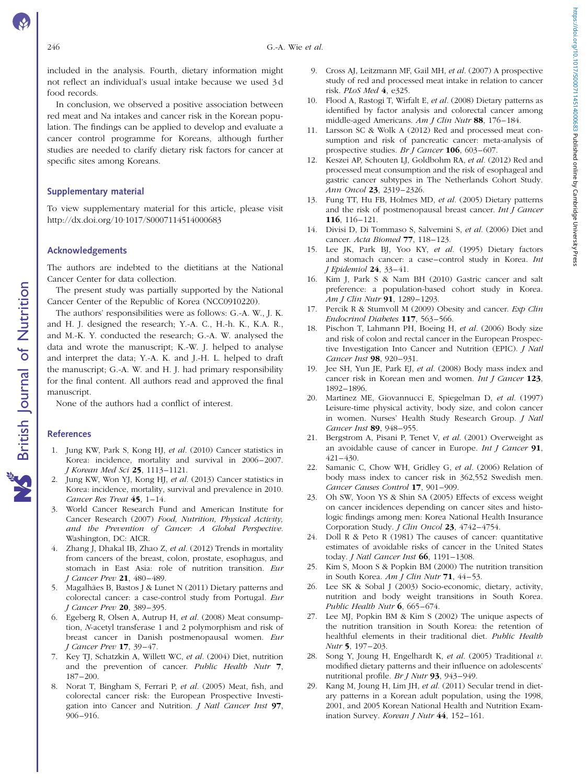included in the analysis. Fourth, dietary information might not reflect an individual's usual intake because we used 3 d food records.

In conclusion, we observed a positive association between red meat and Na intakes and cancer risk in the Korean population. The findings can be applied to develop and evaluate a cancer control programme for Koreans, although further studies are needed to clarify dietary risk factors for cancer at specific sites among Koreans.

# Supplementary material

To view supplementary material for this article, please visit http://dx.doi.org/10·1017/S0007114514000683

# Acknowledgements

The authors are indebted to the dietitians at the National Cancer Center for data collection.

The present study was partially supported by the National Cancer Center of the Republic of Korea (NCC0910220).

The authors' responsibilities were as follows: G.-A. W., J. K. and H. J. designed the research; Y.-A. C., H.-h. K., K.A. R., and M.-K. Y. conducted the research; G.-A. W. analysed the data and wrote the manuscript; K.-W. J. helped to analyse and interpret the data; Y.-A. K. and J.-H. L. helped to draft the manuscript; G.-A. W. and H. J. had primary responsibility for the final content. All authors read and approved the final manuscript.

None of the authors had a conflict of interest.

# References

- 1. Jung KW, Park S, Kong HJ, et al. (2010) Cancer statistics in Korea: incidence, mortality and survival in 2006–2007. J Korean Med Sci 25, 1113–1121.
- 2. Jung KW, Won YJ, Kong HJ, et al. (2013) Cancer statistics in Korea: incidence, mortality, survival and prevalence in 2010. Cancer Res Treat  $45$ , 1-14.
- 3. World Cancer Research Fund and American Institute for Cancer Research (2007) Food, Nutrition, Physical Activity, and the Prevention of Cancer: A Global Perspective. Washington, DC: AICR.
- 4. Zhang J, Dhakal IB, Zhao Z, et al. (2012) Trends in mortality from cancers of the breast, colon, prostate, esophagus, and stomach in East Asia: role of nutrition transition. Eur J Cancer Prev 21, 480–489.
- 5. Magalhães B, Bastos J & Lunet N (2011) Dietary patterns and colorectal cancer: a case-control study from Portugal. Eur J Cancer Prev 20, 389–395.
- 6. Egeberg R, Olsen A, Autrup H, et al. (2008) Meat consumption, N-acetyl transferase 1 and 2 polymorphism and risk of breast cancer in Danish postmenopausal women. Eur J Cancer Prev 17, 39–47.
- 7. Key TJ, Schatzkin A, Willett WC, et al. (2004) Diet, nutrition and the prevention of cancer. Public Health Nutr 7, 187–200.
- 8. Norat T, Bingham S, Ferrari P, et al. (2005) Meat, fish, and colorectal cancer risk: the European Prospective Investigation into Cancer and Nutrition. J Natl Cancer Inst 97, 906–916.
- 9. Cross AJ, Leitzmann MF, Gail MH, et al. (2007) A prospective study of red and processed meat intake in relation to cancer risk. PLoS Med 4, e325.
- 10. Flood A, Rastogi T, Wirfalt E, et al. (2008) Dietary patterns as identified by factor analysis and colorectal cancer among middle-aged Americans. Am J Clin Nutr 88, 176–184.
- 11. Larsson SC & Wolk A (2012) Red and processed meat consumption and risk of pancreatic cancer: meta-analysis of prospective studies. Br J Cancer 106, 603-607.
- 12. Keszei AP, Schouten LJ, Goldbohm RA, et al. (2012) Red and processed meat consumption and the risk of esophageal and gastric cancer subtypes in The Netherlands Cohort Study. Ann Oncol 23, 2319–2326.
- 13. Fung TT, Hu FB, Holmes MD, et al. (2005) Dietary patterns and the risk of postmenopausal breast cancer. Int J Cancer 116, 116–121.
- 14. Divisi D, Di Tommaso S, Salvemini S, et al. (2006) Diet and cancer. Acta Biomed 77, 118–123.
- 15. Lee JK, Park BJ, Yoo KY, et al. (1995) Dietary factors and stomach cancer: a case–control study in Korea. Int J Epidemiol 24, 33–41.
- 16. Kim J, Park S & Nam BH (2010) Gastric cancer and salt preference: a population-based cohort study in Korea. Am J Clin Nutr 91, 1289–1293.
- 17. Percik R & Stumvoll M (2009) Obesity and cancer. Exp Clin Endocrinol Diabetes 117, 563–566.
- Pischon T, Lahmann PH, Boeing H, et al. (2006) Body size and risk of colon and rectal cancer in the European Prospective Investigation Into Cancer and Nutrition (EPIC). J Natl Cancer Inst 98, 920–931.
- 19. Jee SH, Yun JE, Park EJ, et al. (2008) Body mass index and cancer risk in Korean men and women. Int J Cancer 123, 1892–1896.
- 20. Martinez ME, Giovannucci E, Spiegelman D, et al. (1997) Leisure-time physical activity, body size, and colon cancer in women. Nurses' Health Study Research Group. J Natl Cancer Inst 89, 948-955.
- 21. Bergstrom A, Pisani P, Tenet V, et al. (2001) Overweight as an avoidable cause of cancer in Europe. Int  $J$  Cancer 91, 421–430.
- 22. Samanic C, Chow WH, Gridley G, et al. (2006) Relation of body mass index to cancer risk in 362,552 Swedish men. Cancer Causes Control 17, 901–909.
- 23. Oh SW, Yoon YS & Shin SA (2005) Effects of excess weight on cancer incidences depending on cancer sites and histologic findings among men: Korea National Health Insurance Corporation Study. J Clin Oncol 23, 4742–4754.
- 24. Doll R & Peto R (1981) The causes of cancer: quantitative estimates of avoidable risks of cancer in the United States today. J Natl Cancer Inst 66, 1191–1308.
- 25. Kim S, Moon S & Popkin BM (2000) The nutrition transition in South Korea. Am J Clin Nutr 71, 44–53.
- 26. Lee SK & Sobal J (2003) Socio-economic, dietary, activity, nutrition and body weight transitions in South Korea. Public Health Nutr 6, 665-674.
- 27. Lee MJ, Popkin BM & Kim S (2002) The unique aspects of the nutrition transition in South Korea: the retention of healthful elements in their traditional diet. Public Health Nutr 5, 197–203.
- 28. Song Y, Joung H, Engelhardt K, et al. (2005) Traditional  $v$ . modified dietary patterns and their influence on adolescents' nutritional profile. Br J Nutr 93, 943–949.
- 29. Kang M, Joung H, Lim JH, et al. (2011) Secular trend in dietary patterns in a Korean adult population, using the 1998, 2001, and 2005 Korean National Health and Nutrition Examination Survey. Korean J Nutr 44, 152-161.